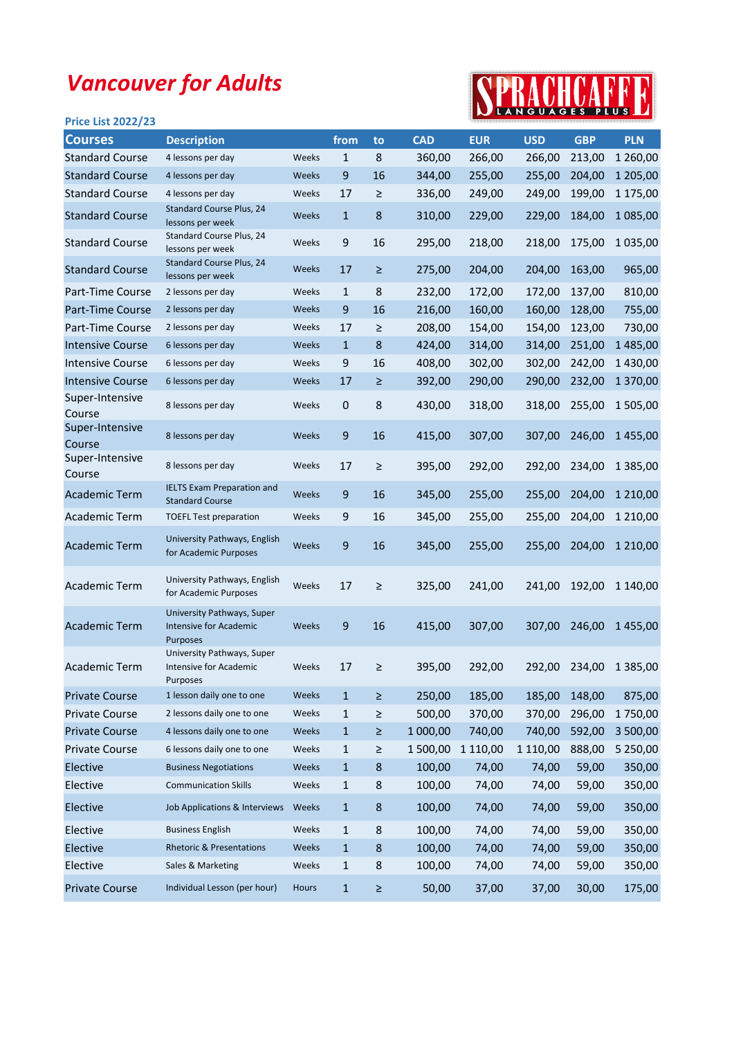## Vancouver for Adults

## Price List 2022/23



| <b>Courses</b>            | <b>Description</b>                                                      |       | from             | to      | <b>CAD</b> | <b>EUR</b> | <b>USD</b> | <b>GBP</b> | <b>PLN</b>    |
|---------------------------|-------------------------------------------------------------------------|-------|------------------|---------|------------|------------|------------|------------|---------------|
| <b>Standard Course</b>    | 4 lessons per day                                                       | Weeks | $\mathbf{1}$     | 8       | 360,00     | 266,00     | 266,00     | 213,00     | 1 260,00      |
| <b>Standard Course</b>    | 4 lessons per day                                                       | Weeks | 9                | 16      | 344,00     | 255,00     | 255,00     | 204,00     | 1 205,00      |
| <b>Standard Course</b>    | 4 lessons per day                                                       | Weeks | 17               | ≥       | 336,00     | 249,00     | 249,00     | 199,00     | 1 175,00      |
| <b>Standard Course</b>    | Standard Course Plus, 24<br>lessons per week                            | Weeks | $\mathbf{1}$     | 8       | 310,00     | 229,00     | 229,00     | 184,00     | 1 085,00      |
| <b>Standard Course</b>    | Standard Course Plus, 24<br>lessons per week                            | Weeks | $\mathsf 9$      | 16      | 295,00     | 218,00     | 218,00     | 175,00     | 1 0 3 5 , 0 0 |
| <b>Standard Course</b>    | Standard Course Plus, 24<br>lessons per week                            | Weeks | 17               | ≥       | 275,00     | 204,00     | 204,00     | 163,00     | 965,00        |
| Part-Time Course          | 2 lessons per day                                                       | Weeks | $\mathbf{1}$     | 8       | 232,00     | 172,00     | 172,00     | 137,00     | 810,00        |
| Part-Time Course          | 2 lessons per day                                                       | Weeks | 9                | 16      | 216,00     | 160,00     | 160,00     | 128,00     | 755,00        |
| Part-Time Course          | 2 lessons per day                                                       | Weeks | 17               | ≥       | 208,00     | 154,00     | 154,00     | 123,00     | 730,00        |
| <b>Intensive Course</b>   | 6 lessons per day                                                       | Weeks | $\mathbf{1}$     | 8       | 424,00     | 314,00     | 314,00     | 251,00     | 1485,00       |
| <b>Intensive Course</b>   | 6 lessons per day                                                       | Weeks | 9                | 16      | 408,00     | 302,00     | 302,00     | 242,00     | 1 430,00      |
| <b>Intensive Course</b>   | 6 lessons per day                                                       | Weeks | 17               | $\geq$  | 392,00     | 290,00     | 290,00     | 232,00     | 1 370,00      |
| Super-Intensive<br>Course | 8 lessons per day                                                       | Weeks | $\mathbf 0$      | 8       | 430,00     | 318,00     | 318,00     | 255,00     | 1 505,00      |
| Super-Intensive<br>Course | 8 lessons per day                                                       | Weeks | $9\,$            | 16      | 415,00     | 307,00     | 307,00     | 246,00     | 1455,00       |
| Super-Intensive<br>Course | 8 lessons per day                                                       | Weeks | 17               | $\geq$  | 395,00     | 292,00     | 292,00     | 234,00     | 1 3 8 5 , 0 0 |
| <b>Academic Term</b>      | <b>IELTS Exam Preparation and</b><br><b>Standard Course</b>             | Weeks | $9\,$            | 16      | 345,00     | 255,00     | 255,00     | 204,00     | 1 2 1 0,00    |
| <b>Academic Term</b>      | <b>TOEFL Test preparation</b>                                           | Weeks | 9                | 16      | 345,00     | 255,00     | 255,00     | 204,00     | 1 2 1 0,00    |
| <b>Academic Term</b>      | University Pathways, English<br>for Academic Purposes                   | Weeks | $\boldsymbol{9}$ | 16      | 345,00     | 255,00     | 255,00     | 204,00     | 1 2 1 0,00    |
| <b>Academic Term</b>      | University Pathways, English<br>for Academic Purposes                   | Weeks | 17               | ≥       | 325,00     | 241,00     | 241,00     | 192,00     | 1 140,00      |
| <b>Academic Term</b>      | University Pathways, Super<br><b>Intensive for Academic</b><br>Purposes | Weeks | 9                | 16      | 415,00     | 307,00     | 307,00     | 246,00     | 1455,00       |
| <b>Academic Term</b>      | University Pathways, Super<br>Intensive for Academic<br>Purposes        | Weeks | 17               | ≥       | 395,00     | 292,00     | 292,00     | 234,00     | 1 3 8 5 , 0 0 |
| <b>Private Course</b>     | 1 lesson daily one to one                                               | Weeks | $\mathbf 1$      | $\geq$  | 250,00     | 185,00     | 185,00     | 148,00     | 875,00        |
| <b>Private Course</b>     | 2 lessons daily one to one                                              | Weeks | $\mathbf 1$      | ≥       | 500,00     | 370,00     | 370,00     | 296,00     | 1750,00       |
| <b>Private Course</b>     | 4 lessons daily one to one                                              | Weeks | $\mathbf{1}$     | Σ       | 1 000,00   | 740,00     | 740,00     | 592,00     | 3 500,00      |
| <b>Private Course</b>     | 6 lessons daily one to one                                              | Weeks | $\mathbf{1}$     | ≥       | 1 500,00   | 1 110,00   | 1 110,00   | 888,00     | 5 250,00      |
| Elective                  | <b>Business Negotiations</b>                                            | Weeks | $\mathbf{1}$     | 8       | 100,00     | 74,00      | 74,00      | 59,00      | 350,00        |
| Elective                  | <b>Communication Skills</b>                                             | Weeks | $\mathbf{1}$     | 8       | 100,00     | 74,00      | 74,00      | 59,00      | 350,00        |
| Elective                  | Job Applications & Interviews                                           | Weeks | $\mathbf{1}$     | 8       | 100,00     | 74,00      | 74,00      | 59,00      | 350,00        |
| Elective                  | <b>Business English</b>                                                 | Weeks | $\mathbf{1}$     | 8       | 100,00     | 74,00      | 74,00      | 59,00      | 350,00        |
| Elective                  | <b>Rhetoric &amp; Presentations</b>                                     | Weeks | $\mathbf{1}$     | $\bf 8$ | 100,00     | 74,00      | 74,00      | 59,00      | 350,00        |
| Elective                  | Sales & Marketing                                                       | Weeks | $\mathbf{1}$     | 8       | 100,00     | 74,00      | 74,00      | 59,00      | 350,00        |
| <b>Private Course</b>     | Individual Lesson (per hour)                                            | Hours | $\mathbf{1}$     | ≥       | 50,00      | 37,00      | 37,00      | 30,00      | 175,00        |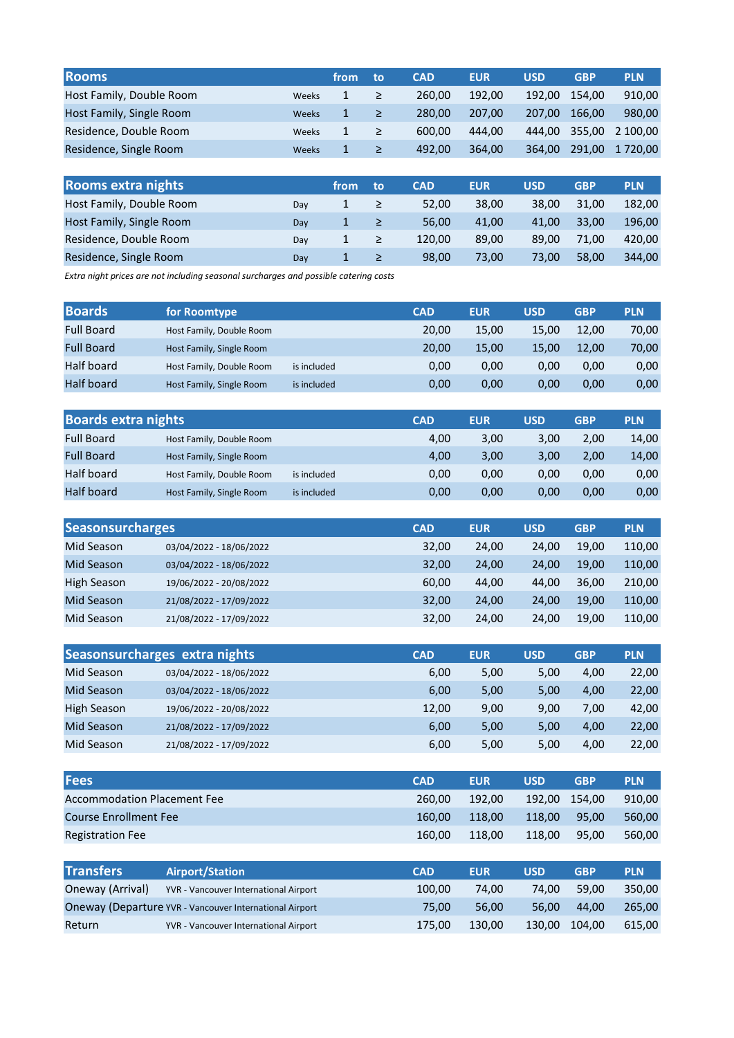| <b>Rooms</b>              |       | from | to     | <b>CAD</b> | <b>EUR</b> | <b>USD</b> | <b>GBP</b> | <b>PLN</b> |
|---------------------------|-------|------|--------|------------|------------|------------|------------|------------|
| Host Family, Double Room  | Weeks | 1    | ≥      | 260.00     | 192,00     | 192.00     | 154.00     | 910,00     |
| Host Family, Single Room  | Weeks | 1    | $\geq$ | 280,00     | 207,00     | 207,00     | 166,00     | 980,00     |
| Residence, Double Room    | Weeks | 1    | $\geq$ | 600,00     | 444,00     | 444.00     | 355,00     | 2 100,00   |
| Residence, Single Room    | Weeks | 1    | $\geq$ | 492.00     | 364,00     | 364.00     | 291.00     | 1720,00    |
|                           |       |      |        |            |            |            |            |            |
| <b>Rooms extra nights</b> |       | from | to     | <b>CAD</b> | <b>EUR</b> | <b>USD</b> | <b>GBP</b> | <b>PLN</b> |
| Host Family, Double Room  | Day   | 1    | $\geq$ | 52,00      | 38,00      | 38,00      | 31,00      | 182,00     |
| Host Family, Single Room  | Day   | 1    | ≥      | 56,00      | 41,00      | 41,00      | 33,00      | 196,00     |

Day 1 ≥ 120,00 89,00 89,00 71,00 420,00 Day 1 ≥ 98,00 73,00 73,00 58,00 344,00

Extra night prices are not including seasonal surcharges and possible catering costs

Residence, Double Room Residence, Single Room

| <b>Boards</b>     | for Roomtype             |             | <b>CAD</b> | <b>EUR</b> | <b>USD</b> | <b>GBP</b> | <b>PLN</b> |
|-------------------|--------------------------|-------------|------------|------------|------------|------------|------------|
| <b>Full Board</b> | Host Family, Double Room |             | 20.00      | 15,00      | 15.00      | 12.00      | 70,00      |
| <b>Full Board</b> | Host Family, Single Room |             | 20.00      | 15,00      | 15,00      | 12.00      | 70,00      |
| Half board        | Host Family, Double Room | is included | 0,00       | 0,00       | 0.00       | 0.00       | 0,00       |
| Half board        | Host Family, Single Room | is included | 0,00       | 0,00       | 0.00       | 0.00       | 0,00       |

| <b>Boards extra nights</b> |                          |             | <b>CAD</b> | <b>EUR</b> | <b>USD</b> | <b>GBP</b> | <b>PLN</b> |
|----------------------------|--------------------------|-------------|------------|------------|------------|------------|------------|
| <b>Full Board</b>          | Host Family, Double Room |             | 4,00       | 3,00       | 3.00       | 2,00       | 14,00      |
| <b>Full Board</b>          | Host Family, Single Room |             | 4,00       | 3,00       | 3.00       | 2,00       | 14,00      |
| Half board                 | Host Family, Double Room | is included | 0,00       | 0,00       | 0.00       | 0,00       | 0,00       |
| <b>Half board</b>          | Host Family, Single Room | is included | 0,00       | 0,00       | 0,00       | 0,00       | 0,00       |

| <b>Seasonsurcharges</b> |                         | <b>CAD</b> | <b>EUR</b> | <b>USD</b> | <b>GBP</b> | <b>PLN</b> |
|-------------------------|-------------------------|------------|------------|------------|------------|------------|
| Mid Season              | 03/04/2022 - 18/06/2022 | 32,00      | 24,00      | 24.00      | 19,00      | 110,00     |
| Mid Season              | 03/04/2022 - 18/06/2022 | 32,00      | 24,00      | 24.00      | 19,00      | 110,00     |
| High Season             | 19/06/2022 - 20/08/2022 | 60.00      | 44,00      | 44.00      | 36.00      | 210,00     |
| Mid Season              | 21/08/2022 - 17/09/2022 | 32.00      | 24,00      | 24.00      | 19.00      | 110,00     |
| Mid Season              | 21/08/2022 - 17/09/2022 | 32,00      | 24,00      | 24,00      | 19,00      | 110,00     |

|                    | Seasonsurcharges extra nights | <b>CAD</b> | <b>EUR</b> | <b>USD</b> | <b>GBP</b> | <b>PLN</b> |
|--------------------|-------------------------------|------------|------------|------------|------------|------------|
| Mid Season         | 03/04/2022 - 18/06/2022       | 6,00       | 5,00       | 5.00       | 4,00       | 22,00      |
| Mid Season         | 03/04/2022 - 18/06/2022       | 6,00       | 5,00       | 5,00       | 4,00       | 22,00      |
| <b>High Season</b> | 19/06/2022 - 20/08/2022       | 12,00      | 9,00       | 9.00       | 7,00       | 42,00      |
| Mid Season         | 21/08/2022 - 17/09/2022       | 6,00       | 5,00       | 5,00       | 4,00       | 22,00      |
| Mid Season         | 21/08/2022 - 17/09/2022       | 6,00       | 5,00       | 5,00       | 4,00       | 22,00      |

| <b>Fees</b>                        | <b>CAD</b> | <b>EUR</b> | USD    | <b>GBP</b>    | <b>PLN</b> |
|------------------------------------|------------|------------|--------|---------------|------------|
| <b>Accommodation Placement Fee</b> | 260.00     | 192.00     |        | 192.00 154.00 | 910.00     |
| <b>Course Enrollment Fee</b>       | 160.00     | 118.00     | 118.00 | 95.00         | 560.00     |
| <b>Registration Fee</b>            | 160.00     | 118.00     | 118.00 | 95.00         | 560.00     |

| <b>Transfers</b> | <b>Airport/Station</b>                                  | <b>CAD</b> | <b>EUR</b> | USD    | <b>GBP</b> | <b>PLN</b> |
|------------------|---------------------------------------------------------|------------|------------|--------|------------|------------|
| Oneway (Arrival) | YVR - Vancouver International Airport                   | 100.00     | 74.00      | 74.00  | 59.00      | 350.00     |
|                  | Oneway (Departure YVR - Vancouver International Airport | 75.00      | 56.00      | 56.00  | 44.00      | 265.00     |
| Return           | YVR - Vancouver International Airport                   | 175.00     | 130.00     | 130.00 | 104.00     | 615.00     |